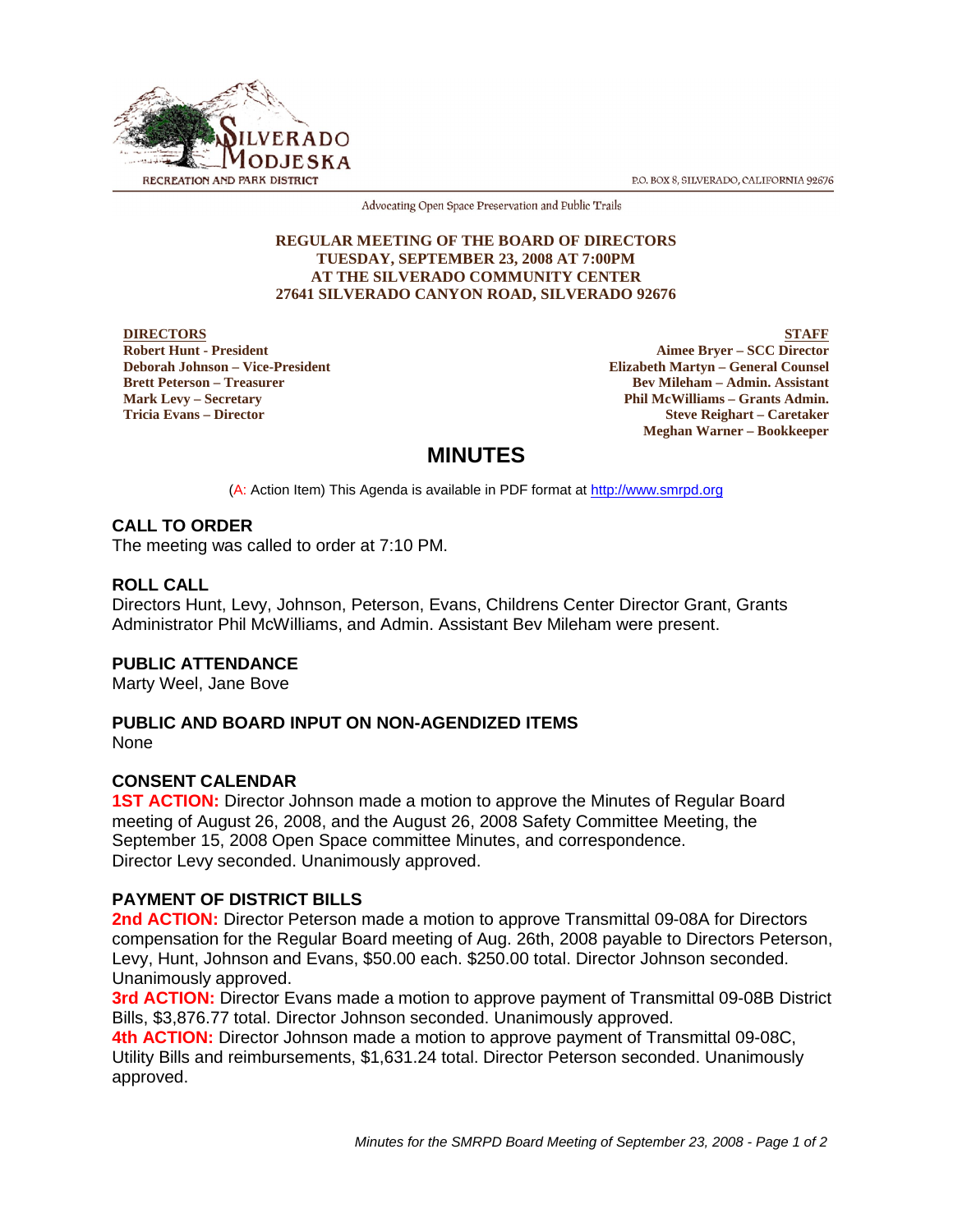P.O. BOX 8, SILVERADO, CALIFORNIA 92676



Advocating Open Space Preservation and Public Trails

#### **REGULAR MEETING OF THE BOARD OF DIRECTORS TUESDAY, SEPTEMBER 23, 2008 AT 7:00PM AT THE SILVERADO COMMUNITY CENTER 27641 SILVERADO CANYON ROAD, SILVERADO 92676**

**DIRECTORS Robert Hunt - President Deborah Johnson – Vice-President Brett Peterson – Treasurer Mark Levy – Secretary Tricia Evans – Director**

**STAFF Aimee Bryer – SCC Director Elizabeth Martyn – General Counsel Bev Mileham – Admin. Assistant Phil McWilliams – Grants Admin. Steve Reighart – Caretaker Meghan Warner – Bookkeeper**

# **MINUTES**

(A: Action Item) This Agenda is available in PDF format at http://www.smrpd.org

## **CALL TO ORDER**

The meeting was called to order at 7:10 PM.

## **ROLL CALL**

Directors Hunt, Levy, Johnson, Peterson, Evans, Childrens Center Director Grant, Grants Administrator Phil McWilliams, and Admin. Assistant Bev Mileham were present.

## **PUBLIC ATTENDANCE**

Marty Weel, Jane Bove

## **PUBLIC AND BOARD INPUT ON NON-AGENDIZED ITEMS**

**None** 

## **CONSENT CALENDAR**

**1ST ACTION:** Director Johnson made a motion to approve the Minutes of Regular Board meeting of August 26, 2008, and the August 26, 2008 Safety Committee Meeting, the September 15, 2008 Open Space committee Minutes, and correspondence. Director Levy seconded. Unanimously approved.

## **PAYMENT OF DISTRICT BILLS**

**2nd ACTION:** Director Peterson made a motion to approve Transmittal 09-08A for Directors compensation for the Regular Board meeting of Aug. 26th, 2008 payable to Directors Peterson, Levy, Hunt, Johnson and Evans, \$50.00 each. \$250.00 total. Director Johnson seconded. Unanimously approved.

**3rd ACTION:** Director Evans made a motion to approve payment of Transmittal 09-08B District Bills, \$3,876.77 total. Director Johnson seconded. Unanimously approved.

**4th ACTION:** Director Johnson made a motion to approve payment of Transmittal 09-08C, Utility Bills and reimbursements, \$1,631.24 total. Director Peterson seconded. Unanimously approved.